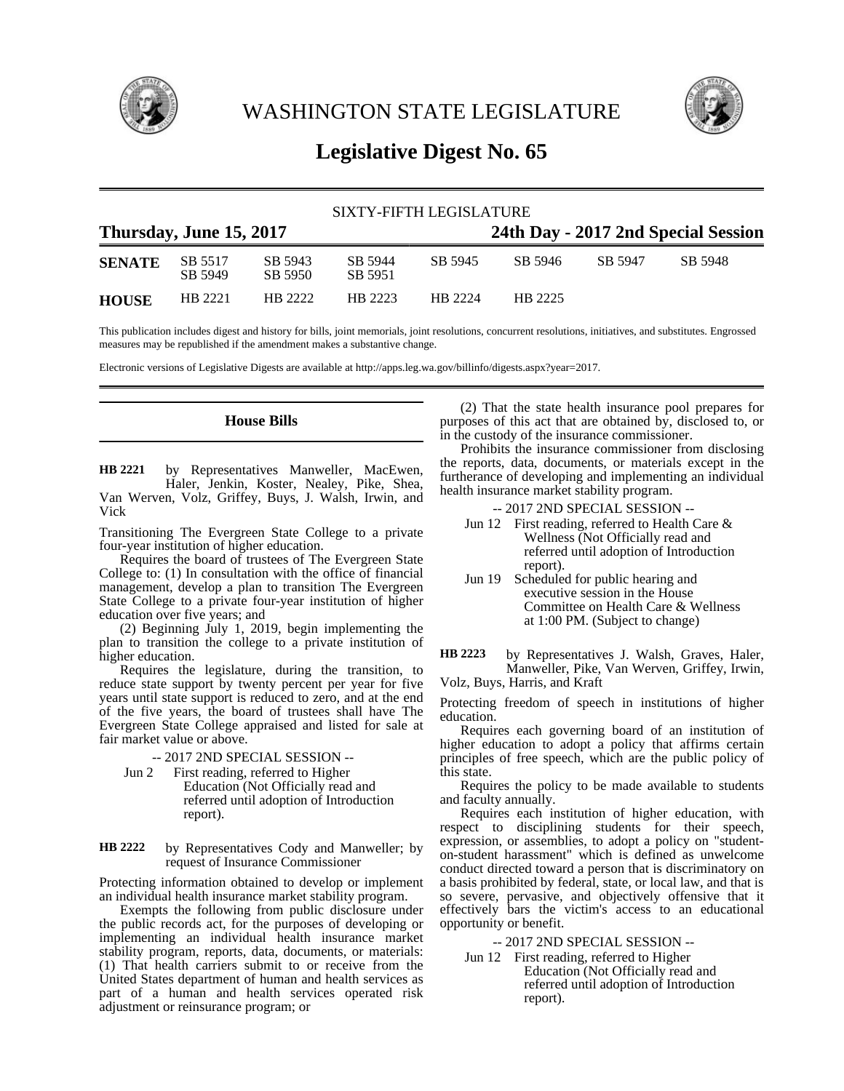

WASHINGTON STATE LEGISLATURE



# **Legislative Digest No. 65**

| SIXTY-FIFTH LEGISLATURE |                         |                    |                    |                                     |         |         |         |  |
|-------------------------|-------------------------|--------------------|--------------------|-------------------------------------|---------|---------|---------|--|
|                         | Thursday, June 15, 2017 |                    |                    | 24th Day - 2017 2nd Special Session |         |         |         |  |
| <b>SENATE</b>           | SB 5517<br>SB 5949      | SB 5943<br>SB 5950 | SB 5944<br>SB 5951 | SB 5945                             | SB 5946 | SB 5947 | SB 5948 |  |
| <b>HOUSE</b>            | HB 2221                 | HB 2222            | HR 2223            | HR 2224                             | HB 2225 |         |         |  |

This publication includes digest and history for bills, joint memorials, joint resolutions, concurrent resolutions, initiatives, and substitutes. Engrossed measures may be republished if the amendment makes a substantive change.

Electronic versions of Legislative Digests are available at http://apps.leg.wa.gov/billinfo/digests.aspx?year=2017.

## **House Bills**

by Representatives Manweller, MacEwen, Haler, Jenkin, Koster, Nealey, Pike, Shea, Van Werven, Volz, Griffey, Buys, J. Walsh, Irwin, and Vick **HB 2221**

Transitioning The Evergreen State College to a private four-year institution of higher education.

Requires the board of trustees of The Evergreen State College to: (1) In consultation with the office of financial management, develop a plan to transition The Evergreen State College to a private four-year institution of higher education over five years; and

(2) Beginning July 1, 2019, begin implementing the plan to transition the college to a private institution of higher education.

Requires the legislature, during the transition, to reduce state support by twenty percent per year for five years until state support is reduced to zero, and at the end of the five years, the board of trustees shall have The Evergreen State College appraised and listed for sale at fair market value or above.

-- 2017 2ND SPECIAL SESSION --

Jun 2 First reading, referred to Higher Education (Not Officially read and referred until adoption of Introduction report).

by Representatives Cody and Manweller; by request of Insurance Commissioner **HB 2222**

Protecting information obtained to develop or implement an individual health insurance market stability program.

Exempts the following from public disclosure under the public records act, for the purposes of developing or implementing an individual health insurance market stability program, reports, data, documents, or materials: (1) That health carriers submit to or receive from the United States department of human and health services as part of a human and health services operated risk adjustment or reinsurance program; or

(2) That the state health insurance pool prepares for purposes of this act that are obtained by, disclosed to, or in the custody of the insurance commissioner.

Prohibits the insurance commissioner from disclosing the reports, data, documents, or materials except in the furtherance of developing and implementing an individual health insurance market stability program.

-- 2017 2ND SPECIAL SESSION --

- Jun 12 First reading, referred to Health Care & Wellness (Not Officially read and referred until adoption of Introduction report).
- Jun 19 Scheduled for public hearing and executive session in the House Committee on Health Care & Wellness at 1:00 PM. (Subject to change)

by Representatives J. Walsh, Graves, Haler, Manweller, Pike, Van Werven, Griffey, Irwin, Volz, Buys, Harris, and Kraft **HB 2223**

Protecting freedom of speech in institutions of higher education.

Requires each governing board of an institution of higher education to adopt a policy that affirms certain principles of free speech, which are the public policy of this state.

Requires the policy to be made available to students and faculty annually.

Requires each institution of higher education, with respect to disciplining students for their speech, expression, or assemblies, to adopt a policy on "studenton-student harassment" which is defined as unwelcome conduct directed toward a person that is discriminatory on a basis prohibited by federal, state, or local law, and that is so severe, pervasive, and objectively offensive that it effectively bars the victim's access to an educational opportunity or benefit.

-- 2017 2ND SPECIAL SESSION --

Jun 12 First reading, referred to Higher Education (Not Officially read and referred until adoption of Introduction report).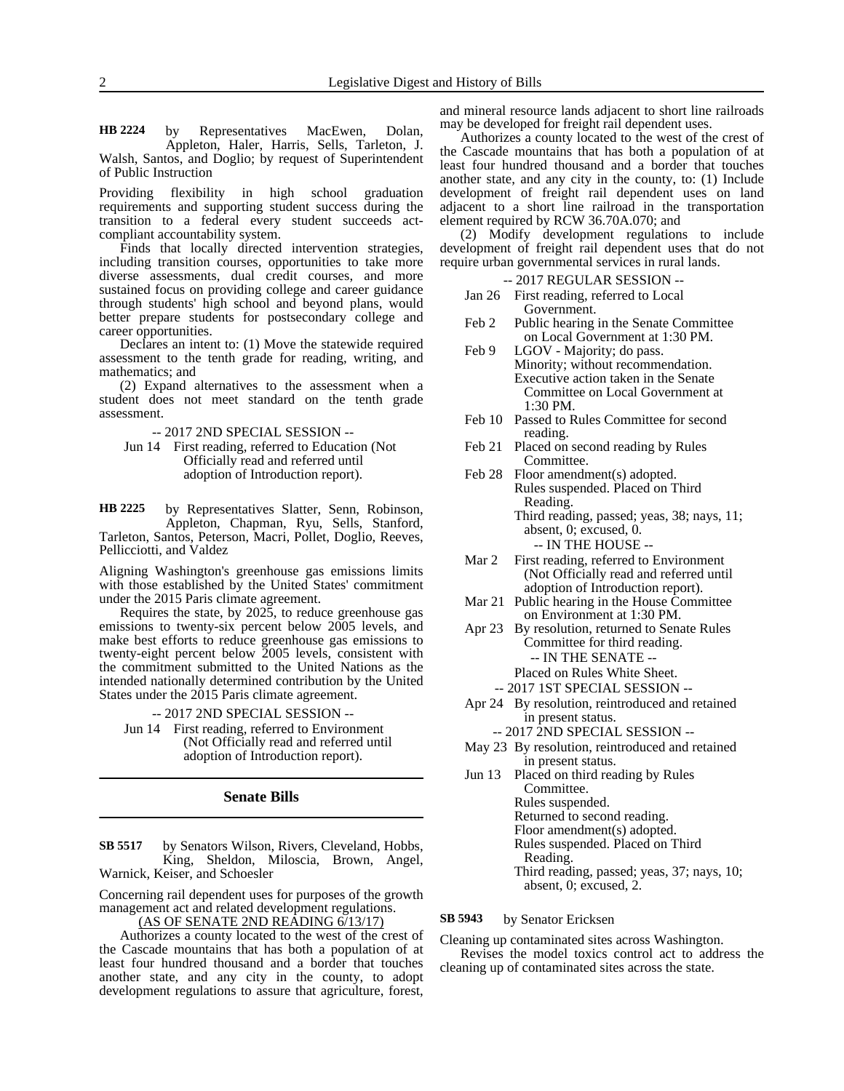by Representatives MacEwen, Dolan, Appleton, Haler, Harris, Sells, Tarleton, J. Walsh, Santos, and Doglio; by request of Superintendent of Public Instruction **HB 2224**

Providing flexibility in high school graduation requirements and supporting student success during the transition to a federal every student succeeds actcompliant accountability system.

Finds that locally directed intervention strategies, including transition courses, opportunities to take more diverse assessments, dual credit courses, and more sustained focus on providing college and career guidance through students' high school and beyond plans, would better prepare students for postsecondary college and career opportunities.

Declares an intent to: (1) Move the statewide required assessment to the tenth grade for reading, writing, and mathematics; and

(2) Expand alternatives to the assessment when a student does not meet standard on the tenth grade assessment.

-- 2017 2ND SPECIAL SESSION --

Jun 14 First reading, referred to Education (Not Officially read and referred until adoption of Introduction report).

by Representatives Slatter, Senn, Robinson, Appleton, Chapman, Ryu, Sells, Stanford, Tarleton, Santos, Peterson, Macri, Pollet, Doglio, Reeves, **HB 2225**

Pellicciotti, and Valdez

Aligning Washington's greenhouse gas emissions limits with those established by the United States' commitment under the 2015 Paris climate agreement.

Requires the state, by 2025, to reduce greenhouse gas emissions to twenty-six percent below 2005 levels, and make best efforts to reduce greenhouse gas emissions to twenty-eight percent below 2005 levels, consistent with the commitment submitted to the United Nations as the intended nationally determined contribution by the United States under the 2015 Paris climate agreement.

-- 2017 2ND SPECIAL SESSION --

Jun 14 First reading, referred to Environment (Not Officially read and referred until adoption of Introduction report).

### **Senate Bills**

by Senators Wilson, Rivers, Cleveland, Hobbs, King, Sheldon, Miloscia, Brown, Angel, Warnick, Keiser, and Schoesler **SB 5517**

Concerning rail dependent uses for purposes of the growth management act and related development regulations.

(AS OF SENATE 2ND READING 6/13/17)

Authorizes a county located to the west of the crest of the Cascade mountains that has both a population of at least four hundred thousand and a border that touches another state, and any city in the county, to adopt development regulations to assure that agriculture, forest,

and mineral resource lands adjacent to short line railroads may be developed for freight rail dependent uses.

Authorizes a county located to the west of the crest of the Cascade mountains that has both a population of at least four hundred thousand and a border that touches another state, and any city in the county, to: (1) Include development of freight rail dependent uses on land adjacent to a short line railroad in the transportation element required by RCW 36.70A.070; and

(2) Modify development regulations to include development of freight rail dependent uses that do not require urban governmental services in rural lands.

- -- 2017 REGULAR SESSION --
- Jan 26 First reading, referred to Local Government.
- Feb 2 Public hearing in the Senate Committee on Local Government at 1:30 PM.
- Feb 9 LGOV Majority; do pass. Minority; without recommendation. Executive action taken in the Senate Committee on Local Government at 1:30 PM.
- Feb 10 Passed to Rules Committee for second reading.
- Feb 21 Placed on second reading by Rules Committee.
- Feb 28 Floor amendment(s) adopted. Rules suspended. Placed on Third Reading.
	- Third reading, passed; yeas, 38; nays, 11; absent, 0; excused, 0. -- IN THE HOUSE --
- Mar 2 First reading, referred to Environment (Not Officially read and referred until adoption of Introduction report).
- Mar 21 Public hearing in the House Committee on Environment at 1:30 PM.
- Apr 23 By resolution, returned to Senate Rules Committee for third reading. -- IN THE SENATE --
	- Placed on Rules White Sheet.
	- -- 2017 1ST SPECIAL SESSION --
- Apr 24 By resolution, reintroduced and retained in present status.
	- -- 2017 2ND SPECIAL SESSION --
- May 23 By resolution, reintroduced and retained in present status.
- Jun 13 Placed on third reading by Rules Committee. Rules suspended. Returned to second reading. Floor amendment(s) adopted. Rules suspended. Placed on Third Reading. Third reading, passed; yeas, 37; nays, 10; absent, 0; excused, 2.

by Senator Ericksen **SB 5943**

Cleaning up contaminated sites across Washington.

Revises the model toxics control act to address the cleaning up of contaminated sites across the state.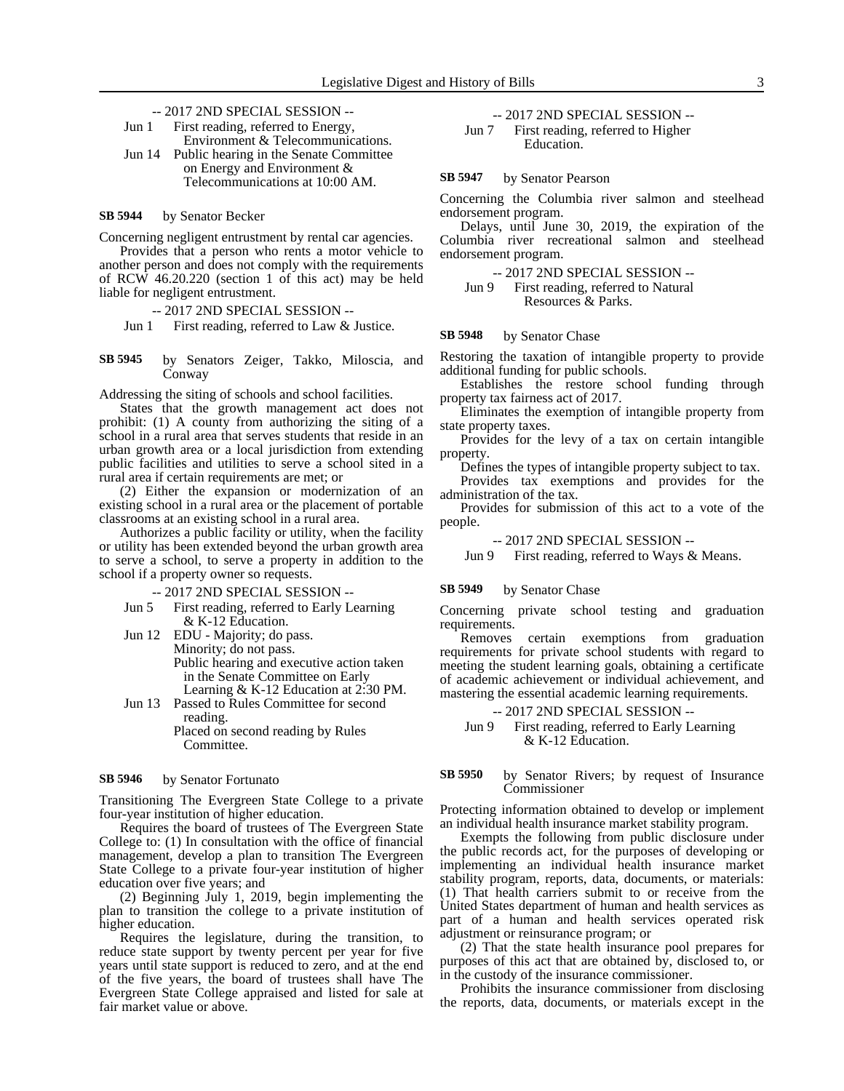-- 2017 2ND SPECIAL SESSION --

| First reading, referred to Energy,            |
|-----------------------------------------------|
| Environment & Telecommunications.             |
| Jun 14 Public hearing in the Senate Committee |
| on Energy and Environment &                   |
| Telecommunications at 10:00 AM.               |
|                                               |

#### by Senator Becker **SB 5944**

Concerning negligent entrustment by rental car agencies.

Provides that a person who rents a motor vehicle to another person and does not comply with the requirements of RCW 46.20.220 (section 1 of this act) may be held liable for negligent entrustment.

### -- 2017 2ND SPECIAL SESSION --

Jun 1 First reading, referred to Law & Justice.

by Senators Zeiger, Takko, Miloscia, and **Conway SB 5945**

Addressing the siting of schools and school facilities.

States that the growth management act does not prohibit: (1) A county from authorizing the siting of a school in a rural area that serves students that reside in an urban growth area or a local jurisdiction from extending public facilities and utilities to serve a school sited in a rural area if certain requirements are met; or

(2) Either the expansion or modernization of an existing school in a rural area or the placement of portable classrooms at an existing school in a rural area.

Authorizes a public facility or utility, when the facility or utility has been extended beyond the urban growth area to serve a school, to serve a property in addition to the school if a property owner so requests.

-- 2017 2ND SPECIAL SESSION --

- Jun 5 First reading, referred to Early Learning & K-12 Education.
- Jun 12 EDU Majority; do pass. Minority; do not pass. Public hearing and executive action taken in the Senate Committee on Early Learning & K-12 Education at 2:30 PM.
- Jun 13 Passed to Rules Committee for second reading. Placed on second reading by Rules

Committee.

#### by Senator Fortunato **SB 5946**

Transitioning The Evergreen State College to a private four-year institution of higher education.

Requires the board of trustees of The Evergreen State College to: (1) In consultation with the office of financial management, develop a plan to transition The Evergreen State College to a private four-year institution of higher education over five years; and

(2) Beginning July 1, 2019, begin implementing the plan to transition the college to a private institution of higher education.

Requires the legislature, during the transition, to reduce state support by twenty percent per year for five years until state support is reduced to zero, and at the end of the five years, the board of trustees shall have The Evergreen State College appraised and listed for sale at fair market value or above.

-- 2017 2ND SPECIAL SESSION --

Jun 7 First reading, referred to Higher Education.

#### by Senator Pearson **SB 5947**

Concerning the Columbia river salmon and steelhead endorsement program.

Delays, until June 30, 2019, the expiration of the Columbia river recreational salmon and steelhead endorsement program.

-- 2017 2ND SPECIAL SESSION --

Jun 9 First reading, referred to Natural Resources & Parks.

#### by Senator Chase **SB 5948**

Restoring the taxation of intangible property to provide additional funding for public schools.

Establishes the restore school funding through property tax fairness act of 2017.

Eliminates the exemption of intangible property from state property taxes.

Provides for the levy of a tax on certain intangible property.

Defines the types of intangible property subject to tax.

Provides tax exemptions and provides for the administration of the tax.

Provides for submission of this act to a vote of the people.

-- 2017 2ND SPECIAL SESSION --

Jun 9 First reading, referred to Ways & Means.

#### by Senator Chase **SB 5949**

Concerning private school testing and graduation requirements.

Removes certain exemptions from graduation requirements for private school students with regard to meeting the student learning goals, obtaining a certificate of academic achievement or individual achievement, and mastering the essential academic learning requirements.

-- 2017 2ND SPECIAL SESSION --

Jun 9 First reading, referred to Early Learning & K-12 Education.

### by Senator Rivers; by request of Insurance Commissioner **SB 5950**

Protecting information obtained to develop or implement an individual health insurance market stability program.

Exempts the following from public disclosure under the public records act, for the purposes of developing or implementing an individual health insurance market stability program, reports, data, documents, or materials: (1) That health carriers submit to or receive from the United States department of human and health services as part of a human and health services operated risk adjustment or reinsurance program; or

(2) That the state health insurance pool prepares for purposes of this act that are obtained by, disclosed to, or in the custody of the insurance commissioner.

Prohibits the insurance commissioner from disclosing the reports, data, documents, or materials except in the